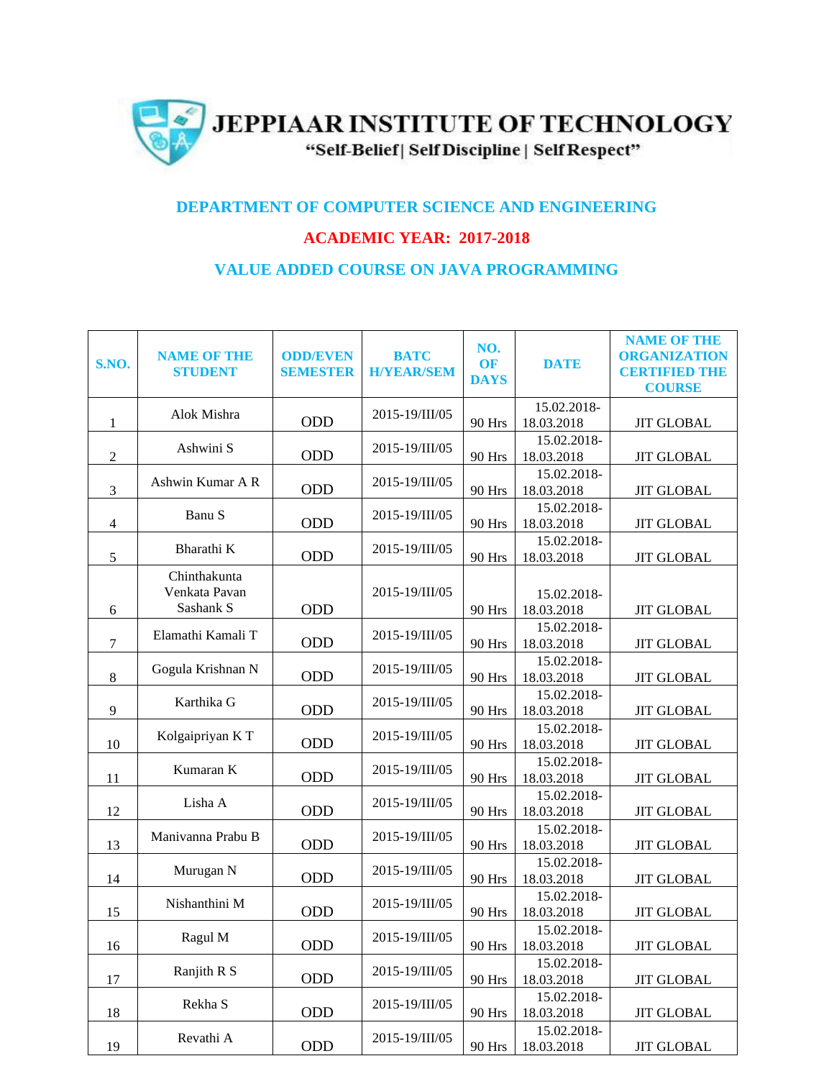

## **DEPARTMENT OF COMPUTER SCIENCE AND ENGINEERING**

## **ACADEMIC YEAR: 2017-2018**

## **VALUE ADDED COURSE ON JAVA PROGRAMMING**

|                             |                    |                 |                   |               |                           | <b>NAME OF THE</b>   |
|-----------------------------|--------------------|-----------------|-------------------|---------------|---------------------------|----------------------|
|                             | <b>NAME OF THE</b> | <b>ODD/EVEN</b> | <b>BATC</b>       | NO.           |                           | <b>ORGANIZATION</b>  |
| <b>S.NO.</b>                | <b>STUDENT</b>     | <b>SEMESTER</b> | <b>H/YEAR/SEM</b> | <b>OF</b>     | <b>DATE</b>               | <b>CERTIFIED THE</b> |
|                             |                    |                 |                   | <b>DAYS</b>   |                           | <b>COURSE</b>        |
|                             | Alok Mishra        |                 | 2015-19/III/05    |               | 15.02.2018-               |                      |
| 1                           |                    | ODD             |                   | 90 Hrs        | 18.03.2018                | <b>JIT GLOBAL</b>    |
|                             | Ashwini S          | ODD             | 2015-19/III/05    |               | 15.02.2018-               |                      |
| $\overline{2}$              |                    |                 |                   | 90 Hrs        | 18.03.2018                | <b>JIT GLOBAL</b>    |
|                             | Ashwin Kumar A R   | ODD             | 2015-19/III/05    |               | 15.02.2018-               |                      |
| $\ensuremath{\mathfrak{Z}}$ |                    |                 |                   | 90 Hrs        | 18.03.2018                | <b>JIT GLOBAL</b>    |
|                             | Banu S             | ODD             | 2015-19/III/05    |               | 15.02.2018-               |                      |
| $\overline{4}$              |                    |                 |                   | 90 Hrs        | 18.03.2018                | <b>JIT GLOBAL</b>    |
| 5                           | Bharathi K         | ODD             | 2015-19/III/05    | 90 Hrs        | 15.02.2018-<br>18.03.2018 | <b>JIT GLOBAL</b>    |
|                             | Chinthakunta       |                 |                   |               |                           |                      |
|                             | Venkata Pavan      |                 | 2015-19/III/05    |               | 15.02.2018-               |                      |
| 6                           | Sashank S          | ODD             |                   | 90 Hrs        | 18.03.2018                | <b>JIT GLOBAL</b>    |
|                             |                    |                 |                   |               | 15.02.2018-               |                      |
| $\tau$                      | Elamathi Kamali T  | ODD             | 2015-19/III/05    | 90 Hrs        | 18.03.2018                | <b>JIT GLOBAL</b>    |
|                             |                    |                 |                   |               | 15.02.2018-               |                      |
| 8                           | Gogula Krishnan N  | ODD             | 2015-19/III/05    | 90 Hrs        | 18.03.2018                | <b>JIT GLOBAL</b>    |
|                             |                    |                 |                   |               | 15.02.2018-               |                      |
| 9                           | Karthika G         | ODD             | 2015-19/III/05    | 90 Hrs        | 18.03.2018                | <b>JIT GLOBAL</b>    |
|                             | Kolgaipriyan KT    | ODD             | 2015-19/III/05    |               | 15.02.2018-               |                      |
| 10                          |                    |                 |                   | 90 Hrs        | 18.03.2018                | <b>JIT GLOBAL</b>    |
|                             | Kumaran K          |                 | 2015-19/III/05    |               | 15.02.2018-               |                      |
| 11                          |                    | ODD             |                   | 90 Hrs        | 18.03.2018                | <b>JIT GLOBAL</b>    |
|                             | Lisha A            |                 | 2015-19/III/05    |               | 15.02.2018-               |                      |
| 12                          |                    | ODD             |                   | 90 Hrs        | 18.03.2018                | <b>JIT GLOBAL</b>    |
|                             | Manivanna Prabu B  |                 | 2015-19/III/05    |               | 15.02.2018-               |                      |
| 13                          |                    | ODD             |                   | <b>90 Hrs</b> | 18.03.2018                | <b>JIT GLOBAL</b>    |
|                             | Murugan N          | ODD             | 2015-19/III/05    |               | 15.02.2018-<br>18.03.2018 |                      |
| 14                          |                    |                 |                   | <b>90 Hrs</b> | 15.02.2018-               | <b>JIT GLOBAL</b>    |
| 15                          | Nishanthini M      | ODD             | 2015-19/III/05    | 90 Hrs        | 18.03.2018                | <b>JIT GLOBAL</b>    |
|                             |                    |                 |                   |               | 15.02.2018-               |                      |
| 16                          | Ragul M            | ODD             | 2015-19/III/05    | 90 Hrs        | 18.03.2018                | <b>JIT GLOBAL</b>    |
|                             |                    |                 |                   |               | 15.02.2018-               |                      |
| 17                          | Ranjith R S        | ODD             | 2015-19/III/05    | <b>90 Hrs</b> | 18.03.2018                | <b>JIT GLOBAL</b>    |
|                             |                    |                 |                   |               | 15.02.2018-               |                      |
| 18                          | Rekha S            | ODD             | 2015-19/III/05    | 90 Hrs        | 18.03.2018                | <b>JIT GLOBAL</b>    |
|                             | Revathi A          |                 | 2015-19/III/05    |               | 15.02.2018-               |                      |
| 19                          |                    | ODD             |                   | <b>90 Hrs</b> | 18.03.2018                | <b>JIT GLOBAL</b>    |